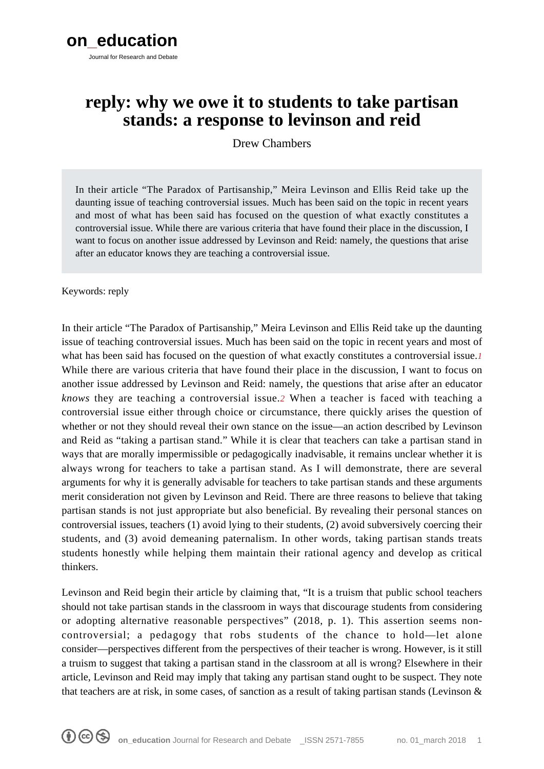# **reply: why we owe it to students to take partisan stands: a response to levinson and reid**

Drew Chambers

In their article "The Paradox of Partisanship," Meira Levinson and Ellis Reid take up the daunting issue of teaching controversial issues. Much has been said on the topic in recent years and most of what has been said has focused on the question of what exactly constitutes a controversial issue. While there are various criteria that have found their place in the discussion, I want to focus on another issue addressed by Levinson and Reid: namely, the questions that arise after an educator knows they are teaching a controversial issue.

Keywords: reply

In their article "The Paradox of Partisanship," Meira Levinson and Ellis Reid take up the daunting issue of teaching controversial issues. Much has been said on the topic in recent years and most of what has been said has focused on the question of what exactly constitutes a controversial issue.*[1](#page--1-0)* While there are various criteria that have found their place in the discussion, I want to focus on another issue addressed by Levinson and Reid: namely, the questions that arise after an educator *knows* they are teaching a controversial issue.*[2](#page--1-0)* When a teacher is faced with teaching a controversial issue either through choice or circumstance, there quickly arises the question of whether or not they should reveal their own stance on the issue—an action described by Levinson and Reid as "taking a partisan stand." While it is clear that teachers can take a partisan stand in ways that are morally impermissible or pedagogically inadvisable, it remains unclear whether it is always wrong for teachers to take a partisan stand. As I will demonstrate, there are several arguments for why it is generally advisable for teachers to take partisan stands and these arguments merit consideration not given by Levinson and Reid. There are three reasons to believe that taking partisan stands is not just appropriate but also beneficial. By revealing their personal stances on controversial issues, teachers (1) avoid lying to their students, (2) avoid subversively coercing their students, and (3) avoid demeaning paternalism. In other words, taking partisan stands treats students honestly while helping them maintain their rational agency and develop as critical thinkers.

Levinson and Reid begin their article by claiming that, "It is a truism that public school teachers should not take partisan stands in the classroom in ways that discourage students from considering or adopting alternative reasonable perspectives" (2018, p. 1). This assertion seems noncontroversial; a pedagogy that robs students of the chance to hold—let alone consider—perspectives different from the perspectives of their teacher is wrong. However, is it still a truism to suggest that taking a partisan stand in the classroom at all is wrong? Elsewhere in their article, Levinson and Reid may imply that taking any partisan stand ought to be suspect. They note that teachers are at risk, in some cases, of sanction as a result of taking partisan stands (Levinson &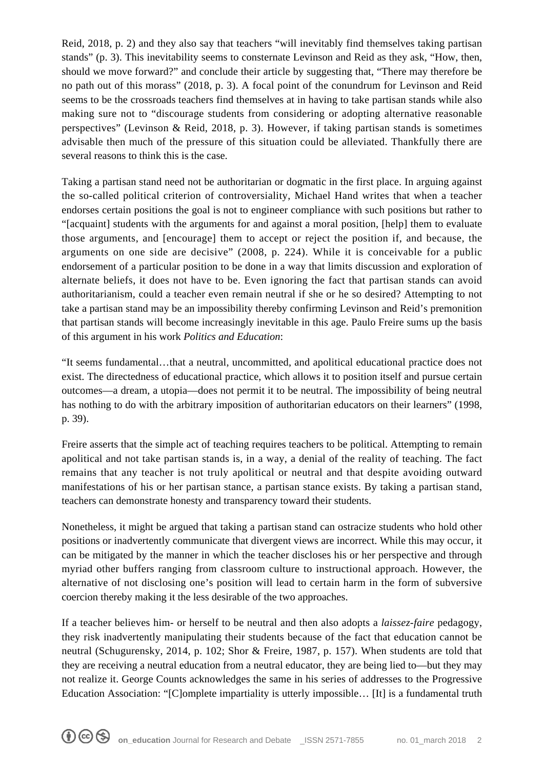Reid, 2018, p. 2) and they also say that teachers "will inevitably find themselves taking partisan stands" (p. 3). This inevitability seems to consternate Levinson and Reid as they ask, "How, then, should we move forward?" and conclude their article by suggesting that, "There may therefore be no path out of this morass" (2018, p. 3). A focal point of the conundrum for Levinson and Reid seems to be the crossroads teachers find themselves at in having to take partisan stands while also making sure not to "discourage students from considering or adopting alternative reasonable perspectives" (Levinson & Reid, 2018, p. 3). However, if taking partisan stands is sometimes advisable then much of the pressure of this situation could be alleviated. Thankfully there are several reasons to think this is the case.

Taking a partisan stand need not be authoritarian or dogmatic in the first place. In arguing against the so-called political criterion of controversiality, Michael Hand writes that when a teacher endorses certain positions the goal is not to engineer compliance with such positions but rather to "[acquaint] students with the arguments for and against a moral position, [help] them to evaluate those arguments, and [encourage] them to accept or reject the position if, and because, the arguments on one side are decisive" (2008, p. 224). While it is conceivable for a public endorsement of a particular position to be done in a way that limits discussion and exploration of alternate beliefs, it does not have to be. Even ignoring the fact that partisan stands can avoid authoritarianism, could a teacher even remain neutral if she or he so desired? Attempting to not take a partisan stand may be an impossibility thereby confirming Levinson and Reid's premonition that partisan stands will become increasingly inevitable in this age. Paulo Freire sums up the basis of this argument in his work *Politics and Education*:

"It seems fundamental…that a neutral, uncommitted, and apolitical educational practice does not exist. The directedness of educational practice, which allows it to position itself and pursue certain outcomes—a dream, a utopia—does not permit it to be neutral. The impossibility of being neutral has nothing to do with the arbitrary imposition of authoritarian educators on their learners" (1998, p. 39).

Freire asserts that the simple act of teaching requires teachers to be political. Attempting to remain apolitical and not take partisan stands is, in a way, a denial of the reality of teaching. The fact remains that any teacher is not truly apolitical or neutral and that despite avoiding outward manifestations of his or her partisan stance, a partisan stance exists. By taking a partisan stand, teachers can demonstrate honesty and transparency toward their students.

Nonetheless, it might be argued that taking a partisan stand can ostracize students who hold other positions or inadvertently communicate that divergent views are incorrect. While this may occur, it can be mitigated by the manner in which the teacher discloses his or her perspective and through myriad other buffers ranging from classroom culture to instructional approach. However, the alternative of not disclosing one's position will lead to certain harm in the form of subversive coercion thereby making it the less desirable of the two approaches.

If a teacher believes him- or herself to be neutral and then also adopts a *laissez-faire* pedagogy, they risk inadvertently manipulating their students because of the fact that education cannot be neutral (Schugurensky, 2014, p. 102; Shor & Freire, 1987, p. 157). When students are told that they are receiving a neutral education from a neutral educator, they are being lied to—but they may not realize it. George Counts acknowledges the same in his series of addresses to the Progressive Education Association: "[C]omplete impartiality is utterly impossible… [It] is a fundamental truth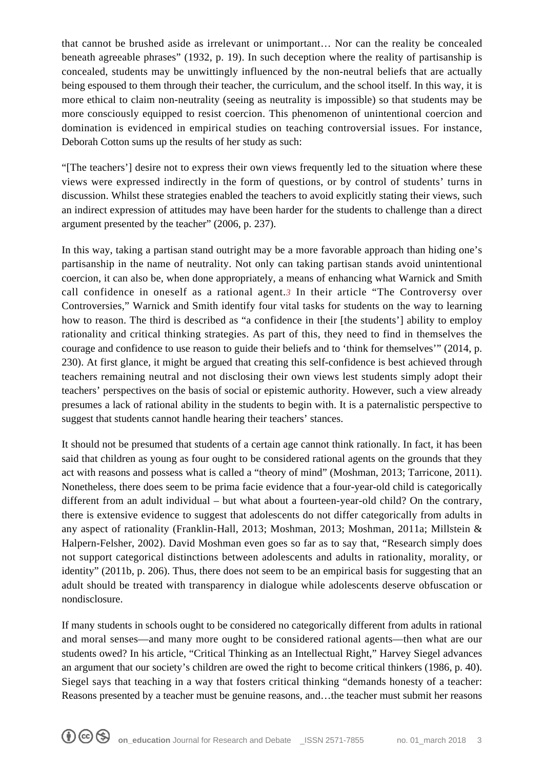that cannot be brushed aside as irrelevant or unimportant… Nor can the reality be concealed beneath agreeable phrases" (1932, p. 19). In such deception where the reality of partisanship is concealed, students may be unwittingly influenced by the non-neutral beliefs that are actually being espoused to them through their teacher, the curriculum, and the school itself. In this way, it is more ethical to claim non-neutrality (seeing as neutrality is impossible) so that students may be more consciously equipped to resist coercion. This phenomenon of unintentional coercion and domination is evidenced in empirical studies on teaching controversial issues. For instance, Deborah Cotton sums up the results of her study as such:

"[The teachers'] desire not to express their own views frequently led to the situation where these views were expressed indirectly in the form of questions, or by control of students' turns in discussion. Whilst these strategies enabled the teachers to avoid explicitly stating their views, such an indirect expression of attitudes may have been harder for the students to challenge than a direct argument presented by the teacher" (2006, p. 237).

In this way, taking a partisan stand outright may be a more favorable approach than hiding one's partisanship in the name of neutrality. Not only can taking partisan stands avoid unintentional coercion, it can also be, when done appropriately, a means of enhancing what Warnick and Smith call confidence in oneself as a rational agent.*[3](#page--1-0)* In their article "The Controversy over Controversies," Warnick and Smith identify four vital tasks for students on the way to learning how to reason. The third is described as "a confidence in their [the students'] ability to employ rationality and critical thinking strategies. As part of this, they need to find in themselves the courage and confidence to use reason to guide their beliefs and to 'think for themselves'" (2014, p. 230). At first glance, it might be argued that creating this self-confidence is best achieved through teachers remaining neutral and not disclosing their own views lest students simply adopt their teachers' perspectives on the basis of social or epistemic authority. However, such a view already presumes a lack of rational ability in the students to begin with. It is a paternalistic perspective to suggest that students cannot handle hearing their teachers' stances.

It should not be presumed that students of a certain age cannot think rationally. In fact, it has been said that children as young as four ought to be considered rational agents on the grounds that they act with reasons and possess what is called a "theory of mind" (Moshman, 2013; Tarricone, 2011). Nonetheless, there does seem to be prima facie evidence that a four-year-old child is categorically different from an adult individual – but what about a fourteen-year-old child? On the contrary, there is extensive evidence to suggest that adolescents do not differ categorically from adults in any aspect of rationality (Franklin-Hall, 2013; Moshman, 2013; Moshman, 2011a; Millstein & Halpern-Felsher, 2002). David Moshman even goes so far as to say that, "Research simply does not support categorical distinctions between adolescents and adults in rationality, morality, or identity" (2011b, p. 206). Thus, there does not seem to be an empirical basis for suggesting that an adult should be treated with transparency in dialogue while adolescents deserve obfuscation or nondisclosure.

If many students in schools ought to be considered no categorically different from adults in rational and moral senses—and many more ought to be considered rational agents—then what are our students owed? In his article, "Critical Thinking as an Intellectual Right," Harvey Siegel advances an argument that our society's children are owed the right to become critical thinkers (1986, p. 40). Siegel says that teaching in a way that fosters critical thinking "demands honesty of a teacher: Reasons presented by a teacher must be genuine reasons, and…the teacher must submit her reasons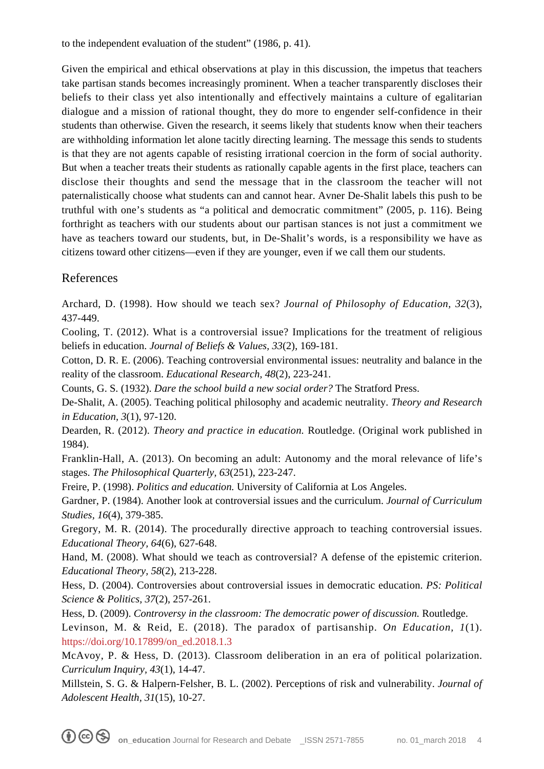to the independent evaluation of the student" (1986, p. 41).

Given the empirical and ethical observations at play in this discussion, the impetus that teachers take partisan stands becomes increasingly prominent. When a teacher transparently discloses their beliefs to their class yet also intentionally and effectively maintains a culture of egalitarian dialogue and a mission of rational thought, they do more to engender self-confidence in their students than otherwise. Given the research, it seems likely that students know when their teachers are withholding information let alone tacitly directing learning. The message this sends to students is that they are not agents capable of resisting irrational coercion in the form of social authority. But when a teacher treats their students as rationally capable agents in the first place, teachers can disclose their thoughts and send the message that in the classroom the teacher will not paternalistically choose what students can and cannot hear. Avner De-Shalit labels this push to be truthful with one's students as "a political and democratic commitment" (2005, p. 116). Being forthright as teachers with our students about our partisan stances is not just a commitment we have as teachers toward our students, but, in De-Shalit's words, is a responsibility we have as citizens toward other citizens—even if they are younger, even if we call them our students.

## References

Archard, D. (1998). How should we teach sex? *Journal of Philosophy of Education, 32*(3), 437-449.

Cooling, T. (2012). What is a controversial issue? Implications for the treatment of religious beliefs in education. *Journal of Beliefs & Values, 33*(2), 169-181.

Cotton, D. R. E. (2006). Teaching controversial environmental issues: neutrality and balance in the reality of the classroom. *Educational Research, 48*(2), 223-241.

Counts, G. S. (1932). *Dare the school build a new social order?* The Stratford Press.

De-Shalit, A. (2005). Teaching political philosophy and academic neutrality. *Theory and Research in Education, 3*(1), 97-120.

Dearden, R. (2012). *Theory and practice in education.* Routledge. (Original work published in 1984).

Franklin-Hall, A. (2013). On becoming an adult: Autonomy and the moral relevance of life's stages. *The Philosophical Quarterly, 63*(251), 223-247.

Freire, P. (1998). *Politics and education.* University of California at Los Angeles.

Gardner, P. (1984). Another look at controversial issues and the curriculum. *Journal of Curriculum Studies, 16*(4), 379-385.

Gregory, M. R. (2014). The procedurally directive approach to teaching controversial issues. *Educational Theory, 64*(6), 627-648.

Hand, M. (2008). What should we teach as controversial? A defense of the epistemic criterion. *Educational Theory, 58*(2), 213-228.

Hess, D. (2004). Controversies about controversial issues in democratic education. *PS: Political Science & Politics, 37*(2), 257-261.

Hess, D. (2009). *Controversy in the classroom: The democratic power of discussion.* Routledge.

Levinson, M. & Reid, E. (2018). The paradox of partisanship. *On Education, 1*(1). [https://doi.org/10.17899/on\\_ed.2018.1.3](https://doi.org/10.17899/on_ed.2018.1.3)

McAvoy, P. & Hess, D. (2013). Classroom deliberation in an era of political polarization. *Curriculum Inquiry, 43*(1), 14-47.

Millstein, S. G. & Halpern-Felsher, B. L. (2002). Perceptions of risk and vulnerability. *Journal of Adolescent Health, 31*(15), 10-27.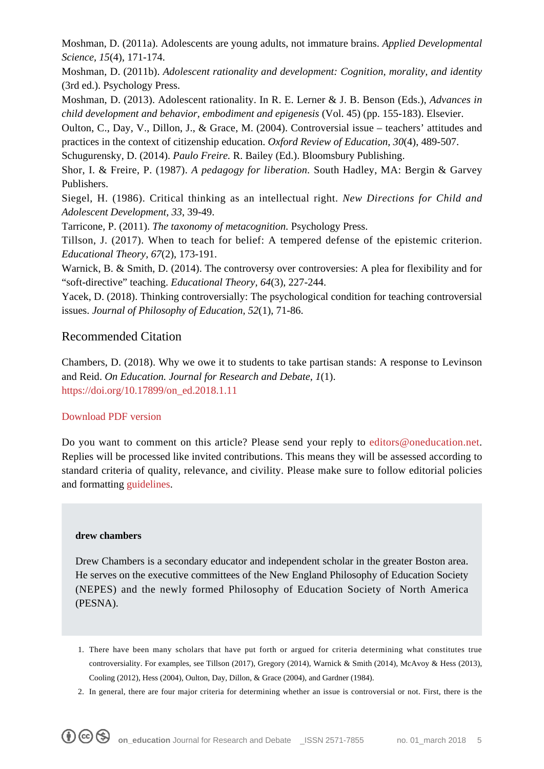Moshman, D. (2011a). Adolescents are young adults, not immature brains. *Applied Developmental Science, 15*(4), 171-174.

Moshman, D. (2011b). *Adolescent rationality and development: Cognition, morality, and identity* (3rd ed.). Psychology Press.

Moshman, D. (2013). Adolescent rationality. In R. E. Lerner & J. B. Benson (Eds.), *Advances in child development and behavior, embodiment and epigenesis* (Vol. 45) (pp. 155-183). Elsevier.

Oulton, C., Day, V., Dillon, J., & Grace, M. (2004). Controversial issue – teachers' attitudes and practices in the context of citizenship education. *Oxford Review of Education, 30*(4), 489-507.

Schugurensky, D. (2014). *Paulo Freire.* R. Bailey (Ed.). Bloomsbury Publishing.

Shor, I. & Freire, P. (1987). *A pedagogy for liberation.* South Hadley, MA: Bergin & Garvey Publishers.

Siegel, H. (1986). Critical thinking as an intellectual right. *New Directions for Child and Adolescent Development, 33*, 39-49.

Tarricone, P. (2011). *The taxonomy of metacognition.* Psychology Press.

Tillson, J. (2017). When to teach for belief: A tempered defense of the epistemic criterion. *Educational Theory, 67*(2), 173-191.

Warnick, B. & Smith, D. (2014). The controversy over controversies: A plea for flexibility and for "soft-directive" teaching. *Educational Theory, 64*(3), 227-244.

Yacek, D. (2018). Thinking controversially: The psychological condition for teaching controversial issues. *Journal of Philosophy of Education, 52*(1), 71-86.

### Recommended Citation

Chambers, D. (2018). Why we owe it to students to take partisan stands: A response to Levinson and Reid. *On Education. Journal for Research and Debate, 1*(1). [https://doi.org/10.17899/on\\_ed.2018.1.11](https://doi.org/10.17899/on_ed.2018.1.11)

#### [Download PDF version](https://www.oneducation.net/wp-content/uploads/2018/06/10.17899_on_ed.2018.1.11.pdf)

Do you want to comment on this article? Please send your reply to [editors@oneducation.net.](mailto:editors@oneducation.net) Replies will be processed like invited contributions. This means they will be assessed according to standard criteria of quality, relevance, and civility. Please make sure to follow editorial policies and formatting [guidelines](https://www.oneducation.net/wp-content/uploads/2018/04/On_Education_Guidelines.pdf).

#### **drew chambers**

Drew Chambers is a secondary educator and independent scholar in the greater Boston area. He serves on the executive committees of the New England Philosophy of Education Society (NEPES) and the newly formed Philosophy of Education Society of North America (PESNA).

- 1. There have been many scholars that have put forth or argued for criteria determining what constitutes true controversiality. For examples, see Tillson (2017), Gregory (2014), Warnick & Smith (2014), McAvoy & Hess (2013), Cooling (2012), Hess (2004), Oulton, Day, Dillon, & Grace (2004), and Gardner (1984).
- 2. In general, there are four major criteria for determining whether an issue is controversial or not. First, there is the